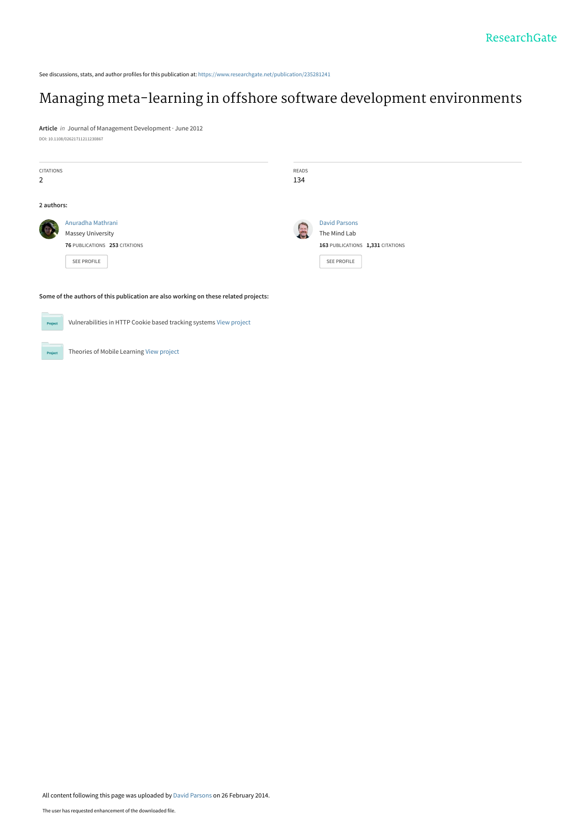See discussions, stats, and author profiles for this publication at: [https://www.researchgate.net/publication/235281241](https://www.researchgate.net/publication/235281241_Managing_meta-learning_in_offshore_software_development_environments?enrichId=rgreq-90682262bc54a69fbb3b4a50c505936f-XXX&enrichSource=Y292ZXJQYWdlOzIzNTI4MTI0MTtBUzoxMDQ0OTA5MzgxNDI3MzBAMTQwMTkyMzk4OTYxMg%3D%3D&el=1_x_2&_esc=publicationCoverPdf)

## [Managing meta-learning in offshore software development environments](https://www.researchgate.net/publication/235281241_Managing_meta-learning_in_offshore_software_development_environments?enrichId=rgreq-90682262bc54a69fbb3b4a50c505936f-XXX&enrichSource=Y292ZXJQYWdlOzIzNTI4MTI0MTtBUzoxMDQ0OTA5MzgxNDI3MzBAMTQwMTkyMzk4OTYxMg%3D%3D&el=1_x_3&_esc=publicationCoverPdf)

**Article** in Journal of Management Development · June 2012 DOI: 10.1108/02621711211230867

| <b>CITATIONS</b><br>2 |                                                                                        | READS<br>134 |                                                                                         |
|-----------------------|----------------------------------------------------------------------------------------|--------------|-----------------------------------------------------------------------------------------|
| 2 authors:            |                                                                                        |              |                                                                                         |
|                       | Anuradha Mathrani<br>Massey University<br>76 PUBLICATIONS 253 CITATIONS<br>SEE PROFILE | E            | <b>David Parsons</b><br>The Mind Lab<br>163 PUBLICATIONS 1,331 CITATIONS<br>SEE PROFILE |

#### **Some of the authors of this publication are also working on these related projects:**



 $Prc$ 

Vulnerabilities in HTTP Cookie based tracking systems [View project](https://www.researchgate.net/project/Vulnerabilities-in-HTTP-Cookie-based-tracking-systems?enrichId=rgreq-90682262bc54a69fbb3b4a50c505936f-XXX&enrichSource=Y292ZXJQYWdlOzIzNTI4MTI0MTtBUzoxMDQ0OTA5MzgxNDI3MzBAMTQwMTkyMzk4OTYxMg%3D%3D&el=1_x_9&_esc=publicationCoverPdf)

Theories of Mobile Learning [View project](https://www.researchgate.net/project/Theories-of-Mobile-Learning?enrichId=rgreq-90682262bc54a69fbb3b4a50c505936f-XXX&enrichSource=Y292ZXJQYWdlOzIzNTI4MTI0MTtBUzoxMDQ0OTA5MzgxNDI3MzBAMTQwMTkyMzk4OTYxMg%3D%3D&el=1_x_9&_esc=publicationCoverPdf)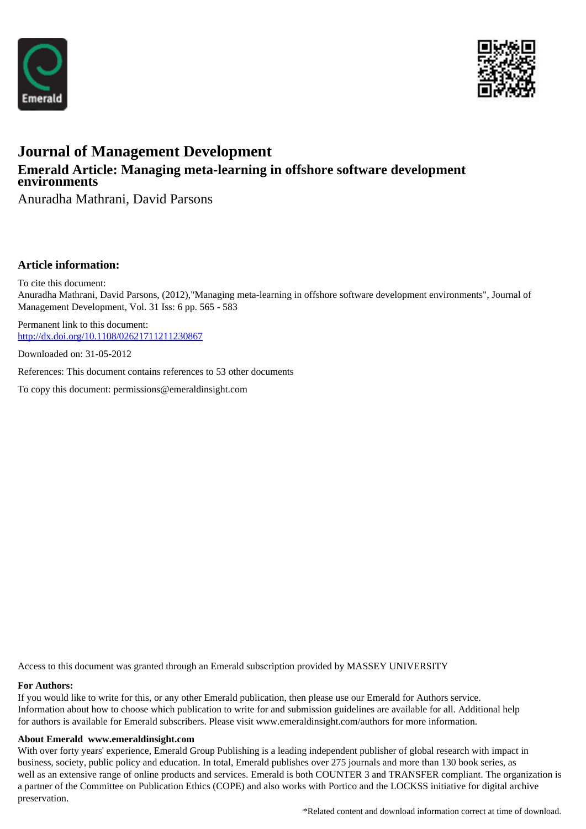



### **Journal of Management Development Emerald Article: Managing meta-learning in offshore software development environments**

Anuradha Mathrani, David Parsons

### **Article information:**

To cite this document: Anuradha Mathrani, David Parsons, (2012),"Managing meta-learning in offshore software development environments", Journal of Management Development, Vol. 31 Iss: 6 pp. 565 - 583

Permanent link to this document: http://dx.doi.org/10.1108/02621711211230867

Downloaded on: 31-05-2012

References: This document contains references to 53 other documents

To copy this document: permissions@emeraldinsight.com

Access to this document was granted through an Emerald subscription provided by MASSEY UNIVERSITY

## **For Authors:**

If you would like to write for this, or any other Emerald publication, then please use our Emerald for Authors service. Information about how to choose which publication to write for and submission guidelines are available for all. Additional help for authors is available for Emerald subscribers. Please visit www.emeraldinsight.com/authors for more information.

#### **About Emerald www.emeraldinsight.com**

With over forty years' experience, Emerald Group Publishing is a leading independent publisher of global research with impact in business, society, public policy and education. In total, Emerald publishes over 275 journals and more than 130 book series, as well as an extensive range of online products and services. Emerald is both COUNTER 3 and TRANSFER compliant. The organization is a partner of the Committee on Publication Ethics (COPE) and also works with Portico and the LOCKSS initiative for digital archive preservation.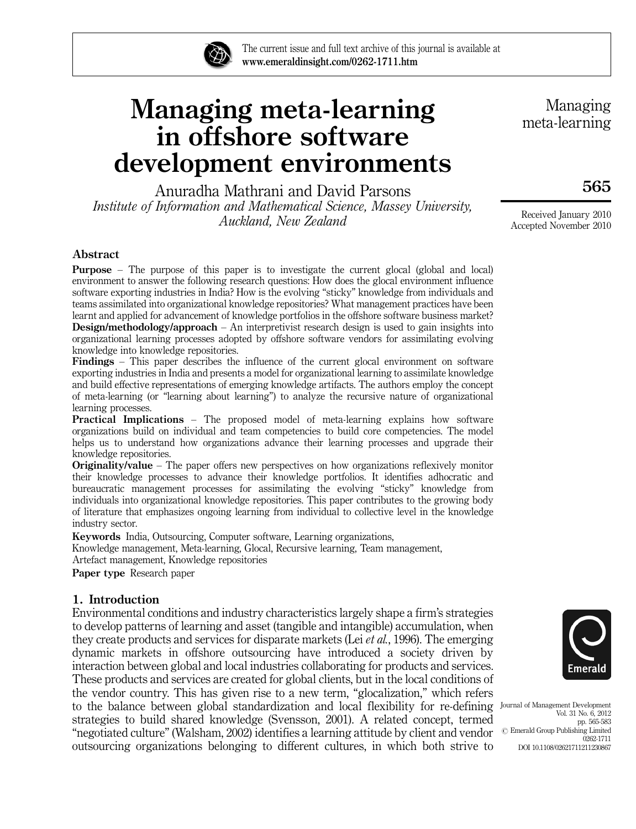

The current issue and full text archive of this journal is available at www.emeraldinsight.com/0262-1711.htm

# Managing meta-learning in offshore software development environments

Anuradha Mathrani and David Parsons Institute of Information and Mathematical Science, Massey University, Auckland, New Zealand

#### Abstract

Purpose – The purpose of this paper is to investigate the current glocal (global and local) environment to answer the following research questions: How does the glocal environment influence software exporting industries in India? How is the evolving "sticky" knowledge from individuals and teams assimilated into organizational knowledge repositories? What management practices have been learnt and applied for advancement of knowledge portfolios in the offshore software business market? **Design/methodology/approach** – An interpretivist research design is used to gain insights into organizational learning processes adopted by offshore software vendors for assimilating evolving knowledge into knowledge repositories.

Findings – This paper describes the influence of the current glocal environment on software exporting industries in India and presents a model for organizational learning to assimilate knowledge and build effective representations of emerging knowledge artifacts. The authors employ the concept of meta-learning (or "learning about learning") to analyze the recursive nature of organizational learning processes.

Practical Implications – The proposed model of meta-learning explains how software organizations build on individual and team competencies to build core competencies. The model helps us to understand how organizations advance their learning processes and upgrade their knowledge repositories.

Originality/value – The paper offers new perspectives on how organizations reflexively monitor their knowledge processes to advance their knowledge portfolios. It identifies adhocratic and bureaucratic management processes for assimilating the evolving "sticky" knowledge from individuals into organizational knowledge repositories. This paper contributes to the growing body of literature that emphasizes ongoing learning from individual to collective level in the knowledge industry sector.

Keywords India, Outsourcing, Computer software, Learning organizations, Knowledge management, Meta-learning, Glocal, Recursive learning, Team management, Artefact management, Knowledge repositories Paper type Research paper

#### 1. Introduction

Environmental conditions and industry characteristics largely shape a firm's strategies to develop patterns of learning and asset (tangible and intangible) accumulation, when they create products and services for disparate markets (Lei et al., 1996). The emerging dynamic markets in offshore outsourcing have introduced a society driven by interaction between global and local industries collaborating for products and services. These products and services are created for global clients, but in the local conditions of the vendor country. This has given rise to a new term, "glocalization," which refers to the balance between global standardization and local flexibility for re-defining Journal of Management Development strategies to build shared knowledge (Svensson, 2001). A related concept, termed "negotiated culture" (Walsham, 2002) identifies a learning attitude by client and vendor outsourcing organizations belonging to different cultures, in which both strive to

**Emerald** 

Vol. 31 No. 6, 2012 pp. 565-583  $\odot$  Emerald Group Publishing Limited 0262-1711 DOI 10.1108/02621711211230867

Managing meta-learning

565

Received January 2010 Accepted November 2010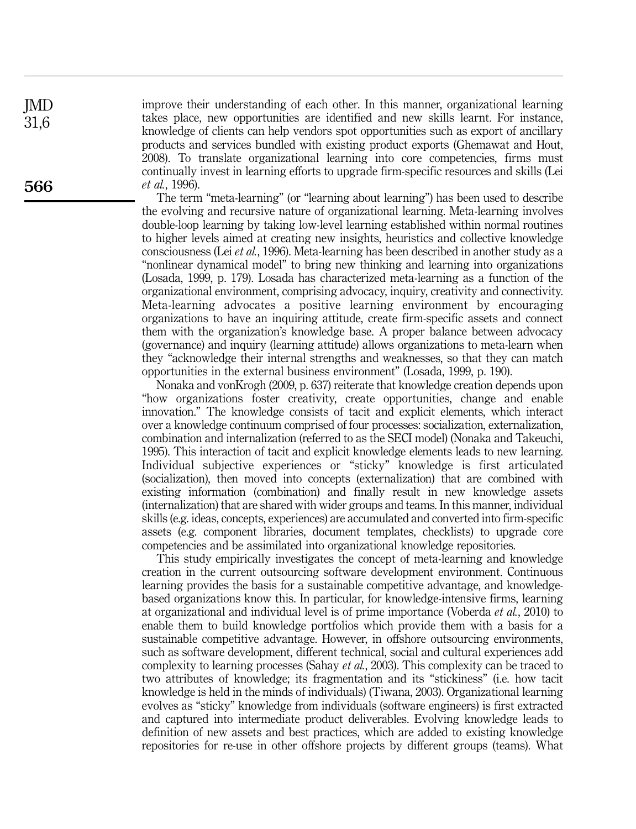improve their understanding of each other. In this manner, organizational learning takes place, new opportunities are identified and new skills learnt. For instance, knowledge of clients can help vendors spot opportunities such as export of ancillary products and services bundled with existing product exports (Ghemawat and Hout, 2008). To translate organizational learning into core competencies, firms must continually invest in learning efforts to upgrade firm-specific resources and skills (Lei et al., 1996).

The term "meta-learning" (or "learning about learning") has been used to describe the evolving and recursive nature of organizational learning. Meta-learning involves double-loop learning by taking low-level learning established within normal routines to higher levels aimed at creating new insights, heuristics and collective knowledge consciousness (Lei et al., 1996). Meta-learning has been described in another study as a "nonlinear dynamical model" to bring new thinking and learning into organizations (Losada, 1999, p. 179). Losada has characterized meta-learning as a function of the organizational environment, comprising advocacy, inquiry, creativity and connectivity. Meta-learning advocates a positive learning environment by encouraging organizations to have an inquiring attitude, create firm-specific assets and connect them with the organization's knowledge base. A proper balance between advocacy (governance) and inquiry (learning attitude) allows organizations to meta-learn when they "acknowledge their internal strengths and weaknesses, so that they can match opportunities in the external business environment" (Losada, 1999, p. 190).

Nonaka and vonKrogh (2009, p. 637) reiterate that knowledge creation depends upon "how organizations foster creativity, create opportunities, change and enable innovation." The knowledge consists of tacit and explicit elements, which interact over a knowledge continuum comprised of four processes: socialization, externalization, combination and internalization (referred to as the SECI model) (Nonaka and Takeuchi, 1995). This interaction of tacit and explicit knowledge elements leads to new learning. Individual subjective experiences or "sticky" knowledge is first articulated (socialization), then moved into concepts (externalization) that are combined with existing information (combination) and finally result in new knowledge assets (internalization) that are shared with wider groups and teams. In this manner, individual skills (e.g. ideas, concepts, experiences) are accumulated and converted into firm-specific assets (e.g. component libraries, document templates, checklists) to upgrade core competencies and be assimilated into organizational knowledge repositories.

This study empirically investigates the concept of meta-learning and knowledge creation in the current outsourcing software development environment. Continuous learning provides the basis for a sustainable competitive advantage, and knowledgebased organizations know this. In particular, for knowledge-intensive firms, learning at organizational and individual level is of prime importance (Voberda et al., 2010) to enable them to build knowledge portfolios which provide them with a basis for a sustainable competitive advantage. However, in offshore outsourcing environments, such as software development, different technical, social and cultural experiences add complexity to learning processes (Sahay *et al.*, 2003). This complexity can be traced to two attributes of knowledge; its fragmentation and its "stickiness" (i.e. how tacit knowledge is held in the minds of individuals) (Tiwana, 2003). Organizational learning evolves as "sticky" knowledge from individuals (software engineers) is first extracted and captured into intermediate product deliverables. Evolving knowledge leads to definition of new assets and best practices, which are added to existing knowledge repositories for re-use in other offshore projects by different groups (teams). What

566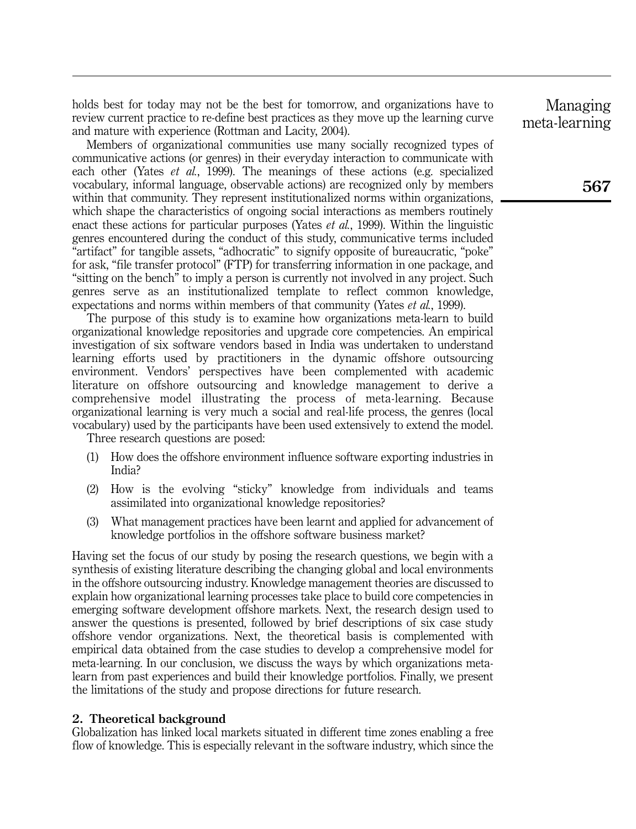holds best for today may not be the best for tomorrow, and organizations have to review current practice to re-define best practices as they move up the learning curve and mature with experience (Rottman and Lacity, 2004).

Members of organizational communities use many socially recognized types of communicative actions (or genres) in their everyday interaction to communicate with each other (Yates et al., 1999). The meanings of these actions (e.g. specialized vocabulary, informal language, observable actions) are recognized only by members within that community. They represent institutionalized norms within organizations, which shape the characteristics of ongoing social interactions as members routinely enact these actions for particular purposes (Yates *et al.*, 1999). Within the linguistic genres encountered during the conduct of this study, communicative terms included "artifact" for tangible assets, "adhocratic" to signify opposite of bureaucratic, "poke" for ask, "file transfer protocol" (FTP) for transferring information in one package, and "sitting on the bench" to imply a person is currently not involved in any project. Such genres serve as an institutionalized template to reflect common knowledge, expectations and norms within members of that community (Yates *et al.*, 1999).

The purpose of this study is to examine how organizations meta-learn to build organizational knowledge repositories and upgrade core competencies. An empirical investigation of six software vendors based in India was undertaken to understand learning efforts used by practitioners in the dynamic offshore outsourcing environment. Vendors' perspectives have been complemented with academic literature on offshore outsourcing and knowledge management to derive a comprehensive model illustrating the process of meta-learning. Because organizational learning is very much a social and real-life process, the genres (local vocabulary) used by the participants have been used extensively to extend the model.

Three research questions are posed:

- (1) How does the offshore environment influence software exporting industries in India?
- (2) How is the evolving "sticky" knowledge from individuals and teams assimilated into organizational knowledge repositories?
- (3) What management practices have been learnt and applied for advancement of knowledge portfolios in the offshore software business market?

Having set the focus of our study by posing the research questions, we begin with a synthesis of existing literature describing the changing global and local environments in the offshore outsourcing industry. Knowledge management theories are discussed to explain how organizational learning processes take place to build core competencies in emerging software development offshore markets. Next, the research design used to answer the questions is presented, followed by brief descriptions of six case study offshore vendor organizations. Next, the theoretical basis is complemented with empirical data obtained from the case studies to develop a comprehensive model for meta-learning. In our conclusion, we discuss the ways by which organizations metalearn from past experiences and build their knowledge portfolios. Finally, we present the limitations of the study and propose directions for future research.

#### 2. Theoretical background

Globalization has linked local markets situated in different time zones enabling a free flow of knowledge. This is especially relevant in the software industry, which since the

Managing meta-learning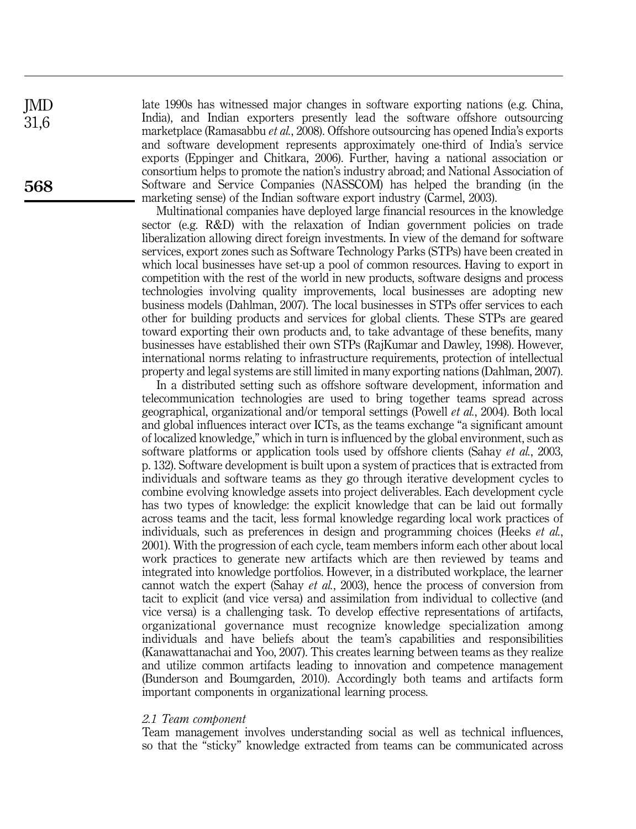late 1990s has witnessed major changes in software exporting nations (e.g. China, India), and Indian exporters presently lead the software offshore outsourcing marketplace (Ramasabbu et al., 2008). Offshore outsourcing has opened India's exports and software development represents approximately one-third of India's service exports (Eppinger and Chitkara, 2006). Further, having a national association or consortium helps to promote the nation's industry abroad; and National Association of Software and Service Companies (NASSCOM) has helped the branding (in the marketing sense) of the Indian software export industry (Carmel, 2003).

Multinational companies have deployed large financial resources in the knowledge sector (e.g. R&D) with the relaxation of Indian government policies on trade liberalization allowing direct foreign investments. In view of the demand for software services, export zones such as Software Technology Parks (STPs) have been created in which local businesses have set-up a pool of common resources. Having to export in competition with the rest of the world in new products, software designs and process technologies involving quality improvements, local businesses are adopting new business models (Dahlman, 2007). The local businesses in STPs offer services to each other for building products and services for global clients. These STPs are geared toward exporting their own products and, to take advantage of these benefits, many businesses have established their own STPs (RajKumar and Dawley, 1998). However, international norms relating to infrastructure requirements, protection of intellectual property and legal systems are still limited in many exporting nations (Dahlman, 2007).

In a distributed setting such as offshore software development, information and telecommunication technologies are used to bring together teams spread across geographical, organizational and/or temporal settings (Powell et al., 2004). Both local and global influences interact over ICTs, as the teams exchange "a significant amount of localized knowledge," which in turn is influenced by the global environment, such as software platforms or application tools used by offshore clients (Sahay *et al.*, 2003, p. 132). Software development is built upon a system of practices that is extracted from individuals and software teams as they go through iterative development cycles to combine evolving knowledge assets into project deliverables. Each development cycle has two types of knowledge: the explicit knowledge that can be laid out formally across teams and the tacit, less formal knowledge regarding local work practices of individuals, such as preferences in design and programming choices (Heeks *et al.*, 2001). With the progression of each cycle, team members inform each other about local work practices to generate new artifacts which are then reviewed by teams and integrated into knowledge portfolios. However, in a distributed workplace, the learner cannot watch the expert (Sahay et al., 2003), hence the process of conversion from tacit to explicit (and vice versa) and assimilation from individual to collective (and vice versa) is a challenging task. To develop effective representations of artifacts, organizational governance must recognize knowledge specialization among individuals and have beliefs about the team's capabilities and responsibilities (Kanawattanachai and Yoo, 2007). This creates learning between teams as they realize and utilize common artifacts leading to innovation and competence management (Bunderson and Boumgarden, 2010). Accordingly both teams and artifacts form important components in organizational learning process.

#### 2.1 Team component

Team management involves understanding social as well as technical influences, so that the "sticky" knowledge extracted from teams can be communicated across

JMD 31,6

568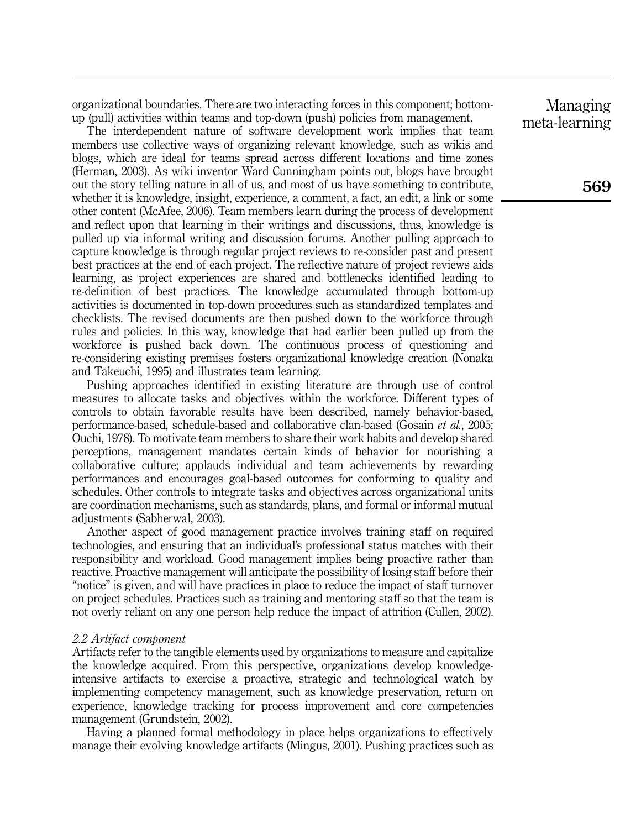organizational boundaries. There are two interacting forces in this component; bottomup (pull) activities within teams and top-down (push) policies from management.

The interdependent nature of software development work implies that team members use collective ways of organizing relevant knowledge, such as wikis and blogs, which are ideal for teams spread across different locations and time zones (Herman, 2003). As wiki inventor Ward Cunningham points out, blogs have brought out the story telling nature in all of us, and most of us have something to contribute, whether it is knowledge, insight, experience, a comment, a fact, an edit, a link or some other content (McAfee, 2006). Team members learn during the process of development and reflect upon that learning in their writings and discussions, thus, knowledge is pulled up via informal writing and discussion forums. Another pulling approach to capture knowledge is through regular project reviews to re-consider past and present best practices at the end of each project. The reflective nature of project reviews aids learning, as project experiences are shared and bottlenecks identified leading to re-definition of best practices. The knowledge accumulated through bottom-up activities is documented in top-down procedures such as standardized templates and checklists. The revised documents are then pushed down to the workforce through rules and policies. In this way, knowledge that had earlier been pulled up from the workforce is pushed back down. The continuous process of questioning and re-considering existing premises fosters organizational knowledge creation (Nonaka and Takeuchi, 1995) and illustrates team learning.

Pushing approaches identified in existing literature are through use of control measures to allocate tasks and objectives within the workforce. Different types of controls to obtain favorable results have been described, namely behavior-based, performance-based, schedule-based and collaborative clan-based (Gosain et al., 2005; Ouchi, 1978). To motivate team members to share their work habits and develop shared perceptions, management mandates certain kinds of behavior for nourishing a collaborative culture; applauds individual and team achievements by rewarding performances and encourages goal-based outcomes for conforming to quality and schedules. Other controls to integrate tasks and objectives across organizational units are coordination mechanisms, such as standards, plans, and formal or informal mutual adjustments (Sabherwal, 2003).

Another aspect of good management practice involves training staff on required technologies, and ensuring that an individual's professional status matches with their responsibility and workload. Good management implies being proactive rather than reactive. Proactive management will anticipate the possibility of losing staff before their "notice" is given, and will have practices in place to reduce the impact of staff turnover on project schedules. Practices such as training and mentoring staff so that the team is not overly reliant on any one person help reduce the impact of attrition (Cullen, 2002).

#### 2.2 Artifact component

Artifacts refer to the tangible elements used by organizations to measure and capitalize the knowledge acquired. From this perspective, organizations develop knowledgeintensive artifacts to exercise a proactive, strategic and technological watch by implementing competency management, such as knowledge preservation, return on experience, knowledge tracking for process improvement and core competencies management (Grundstein, 2002).

Having a planned formal methodology in place helps organizations to effectively manage their evolving knowledge artifacts (Mingus, 2001). Pushing practices such as

Managing meta-learning

569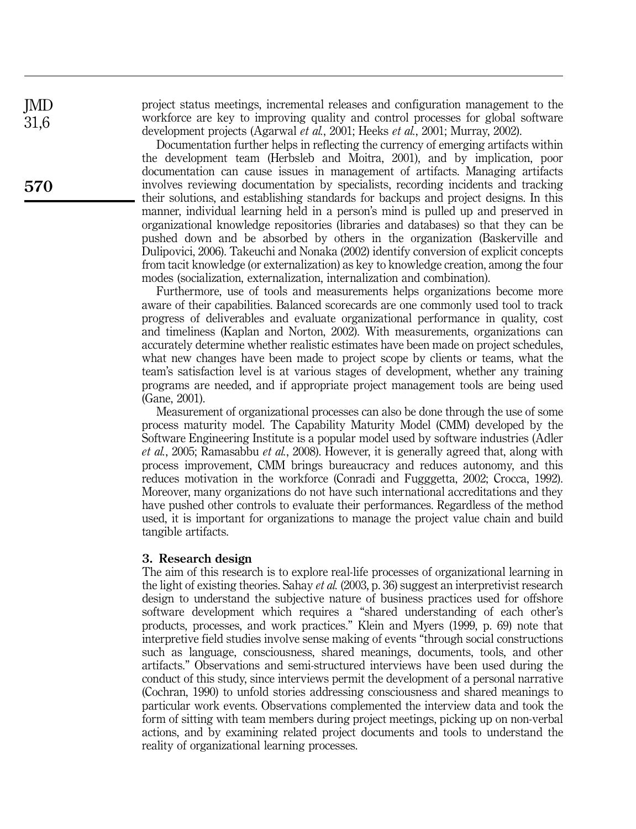project status meetings, incremental releases and configuration management to the workforce are key to improving quality and control processes for global software development projects (Agarwal et al., 2001; Heeks et al., 2001; Murray, 2002).

Documentation further helps in reflecting the currency of emerging artifacts within the development team (Herbsleb and Moitra, 2001), and by implication, poor documentation can cause issues in management of artifacts. Managing artifacts involves reviewing documentation by specialists, recording incidents and tracking their solutions, and establishing standards for backups and project designs. In this manner, individual learning held in a person's mind is pulled up and preserved in organizational knowledge repositories (libraries and databases) so that they can be pushed down and be absorbed by others in the organization (Baskerville and Dulipovici, 2006). Takeuchi and Nonaka (2002) identify conversion of explicit concepts from tacit knowledge (or externalization) as key to knowledge creation, among the four modes (socialization, externalization, internalization and combination).

Furthermore, use of tools and measurements helps organizations become more aware of their capabilities. Balanced scorecards are one commonly used tool to track progress of deliverables and evaluate organizational performance in quality, cost and timeliness (Kaplan and Norton, 2002). With measurements, organizations can accurately determine whether realistic estimates have been made on project schedules, what new changes have been made to project scope by clients or teams, what the team's satisfaction level is at various stages of development, whether any training programs are needed, and if appropriate project management tools are being used (Gane, 2001).

Measurement of organizational processes can also be done through the use of some process maturity model. The Capability Maturity Model (CMM) developed by the Software Engineering Institute is a popular model used by software industries (Adler et al., 2005; Ramasabbu et al., 2008). However, it is generally agreed that, along with process improvement, CMM brings bureaucracy and reduces autonomy, and this reduces motivation in the workforce (Conradi and Fugggetta, 2002; Crocca, 1992). Moreover, many organizations do not have such international accreditations and they have pushed other controls to evaluate their performances. Regardless of the method used, it is important for organizations to manage the project value chain and build tangible artifacts.

#### 3. Research design

The aim of this research is to explore real-life processes of organizational learning in the light of existing theories. Sahay *et al.* (2003, p. 36) suggest an interpretivist research design to understand the subjective nature of business practices used for offshore software development which requires a "shared understanding of each other's products, processes, and work practices." Klein and Myers (1999, p. 69) note that interpretive field studies involve sense making of events "through social constructions such as language, consciousness, shared meanings, documents, tools, and other artifacts." Observations and semi-structured interviews have been used during the conduct of this study, since interviews permit the development of a personal narrative (Cochran, 1990) to unfold stories addressing consciousness and shared meanings to particular work events. Observations complemented the interview data and took the form of sitting with team members during project meetings, picking up on non-verbal actions, and by examining related project documents and tools to understand the reality of organizational learning processes.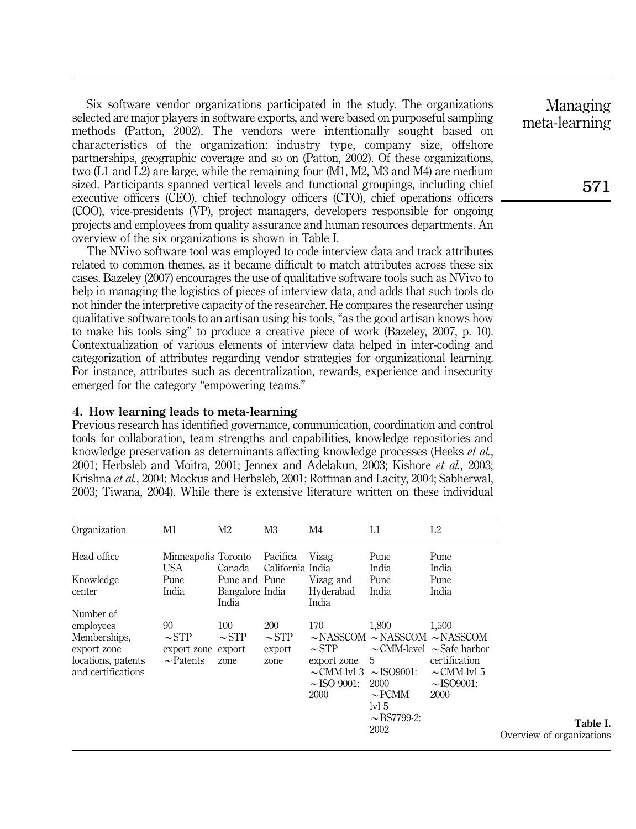Six software vendor organizations participated in the study. The organizations selected are major players in software exports, and were based on purposeful sampling methods (Patton, 2002). The vendors were intentionally sought based on characteristics of the organization: industry type, company size, offshore partnerships, geographic coverage and so on (Patton, 2002). Of these organizations, two (L1 and L2) are large, while the remaining four (M1, M2, M3 and M4) are medium sized. Participants spanned vertical levels and functional groupings, including chief executive officers (CEO), chief technology officers (CTO), chief operations officers (COO), vice-presidents (VP), project managers, developers responsible for ongoing projects and employees from quality assurance and human resources departments. An overview of the six organizations is shown in Table I.

The NVivo software tool was employed to code interview data and track attributes related to common themes, as it became difficult to match attributes across these six cases. Bazeley (2007) encourages the use of qualitative software tools such as NVivo to help in managing the logistics of pieces of interview data, and adds that such tools do not hinder the interpretive capacity of the researcher. He compares the researcher using qualitative software tools to an artisan using his tools, "as the good artisan knows how to make his tools sing" to produce a creative piece of work (Bazeley, 2007, p. 10). Contextualization of various elements of interview data helped in inter-coding and categorization of attributes regarding vendor strategies for organizational learning. For instance, attributes such as decentralization, rewards, experience and insecurity emerged for the category "empowering teams."

#### 4. How learning leads to meta-learning

Previous research has identified governance, communication, coordination and control tools for collaboration, team strengths and capabilities, knowledge repositories and knowledge preservation as determinants affecting knowledge processes (Heeks et al., 2001; Herbsleb and Moitra, 2001; Jennex and Adelakun, 2003; Kishore et al., 2003; Krishna et al., 2004; Mockus and Herbsleb, 2001; Rottman and Lacity, 2004; Sabherwal, 2003; Tiwana, 2004). While there is extensive literature written on these individual

| Organization                                                                                      | M1                                                       | M2                                        | M3                                  | M4                                                                                                 | L1                                                                                                    | L2                                                                                                                                            |                                       |
|---------------------------------------------------------------------------------------------------|----------------------------------------------------------|-------------------------------------------|-------------------------------------|----------------------------------------------------------------------------------------------------|-------------------------------------------------------------------------------------------------------|-----------------------------------------------------------------------------------------------------------------------------------------------|---------------------------------------|
| Head office                                                                                       | Minneapolis Toronto<br><b>USA</b>                        | Canada                                    | Pacifica<br>California India        | Vizag                                                                                              | Pune<br>India                                                                                         | Pune<br>India                                                                                                                                 |                                       |
| Knowledge<br>center                                                                               | Pune<br>India                                            | Pune and Pune<br>Bangalore India<br>India |                                     | Vizag and<br>Hyderabad<br>India                                                                    | Pune<br>India                                                                                         | Pune<br>India                                                                                                                                 |                                       |
| Number of<br>employees<br>Memberships,<br>export zone<br>locations, patents<br>and certifications | 90<br>$\sim$ STP<br>export zone export<br>$\sim$ Patents | 100<br>$\sim$ STP<br>zone                 | 200<br>$\sim$ STP<br>export<br>zone | 170<br>$\sim$ NASSCOM<br>$\sim$ STP<br>export zone<br>$\sim$ CMM-lvl 3<br>$\sim$ ISO 9001:<br>2000 | 1.800<br>5<br>$\sim$ ISO9001:<br>2000<br>$\sim$ PCMM<br>1 <sup>VI</sup> 5<br>$\sim$ BS7799-2:<br>2002 | 1,500<br>$\sim$ NASSCOM $\sim$ NASSCOM<br>$\sim$ CMM-level $\sim$ Safe harbor<br>certification<br>$\sim$ CMM-lvl 5<br>$\sim$ ISO9001:<br>2000 | Table I.<br>Overview of organizations |

Managing meta-learning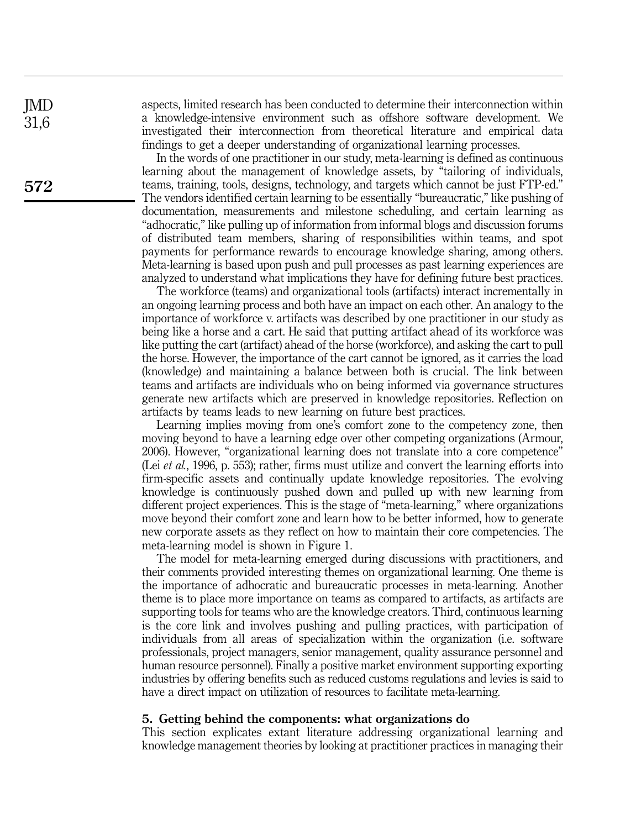aspects, limited research has been conducted to determine their interconnection within a knowledge-intensive environment such as offshore software development. We investigated their interconnection from theoretical literature and empirical data findings to get a deeper understanding of organizational learning processes.

In the words of one practitioner in our study, meta-learning is defined as continuous learning about the management of knowledge assets, by "tailoring of individuals, teams, training, tools, designs, technology, and targets which cannot be just FTP-ed." The vendors identified certain learning to be essentially "bureaucratic," like pushing of documentation, measurements and milestone scheduling, and certain learning as "adhocratic," like pulling up of information from informal blogs and discussion forums of distributed team members, sharing of responsibilities within teams, and spot payments for performance rewards to encourage knowledge sharing, among others. Meta-learning is based upon push and pull processes as past learning experiences are analyzed to understand what implications they have for defining future best practices.

The workforce (teams) and organizational tools (artifacts) interact incrementally in an ongoing learning process and both have an impact on each other. An analogy to the importance of workforce v. artifacts was described by one practitioner in our study as being like a horse and a cart. He said that putting artifact ahead of its workforce was like putting the cart (artifact) ahead of the horse (workforce), and asking the cart to pull the horse. However, the importance of the cart cannot be ignored, as it carries the load (knowledge) and maintaining a balance between both is crucial. The link between teams and artifacts are individuals who on being informed via governance structures generate new artifacts which are preserved in knowledge repositories. Reflection on artifacts by teams leads to new learning on future best practices.

Learning implies moving from one's comfort zone to the competency zone, then moving beyond to have a learning edge over other competing organizations (Armour, 2006). However, "organizational learning does not translate into a core competence" (Lei et al., 1996, p. 553); rather, firms must utilize and convert the learning efforts into firm-specific assets and continually update knowledge repositories. The evolving knowledge is continuously pushed down and pulled up with new learning from different project experiences. This is the stage of "meta-learning," where organizations move beyond their comfort zone and learn how to be better informed, how to generate new corporate assets as they reflect on how to maintain their core competencies. The meta-learning model is shown in Figure 1.

The model for meta-learning emerged during discussions with practitioners, and their comments provided interesting themes on organizational learning. One theme is the importance of adhocratic and bureaucratic processes in meta-learning. Another theme is to place more importance on teams as compared to artifacts, as artifacts are supporting tools for teams who are the knowledge creators. Third, continuous learning is the core link and involves pushing and pulling practices, with participation of individuals from all areas of specialization within the organization (i.e. software professionals, project managers, senior management, quality assurance personnel and human resource personnel). Finally a positive market environment supporting exporting industries by offering benefits such as reduced customs regulations and levies is said to have a direct impact on utilization of resources to facilitate meta-learning.

#### 5. Getting behind the components: what organizations do

This section explicates extant literature addressing organizational learning and knowledge management theories by looking at practitioner practices in managing their

JMD 31,6

572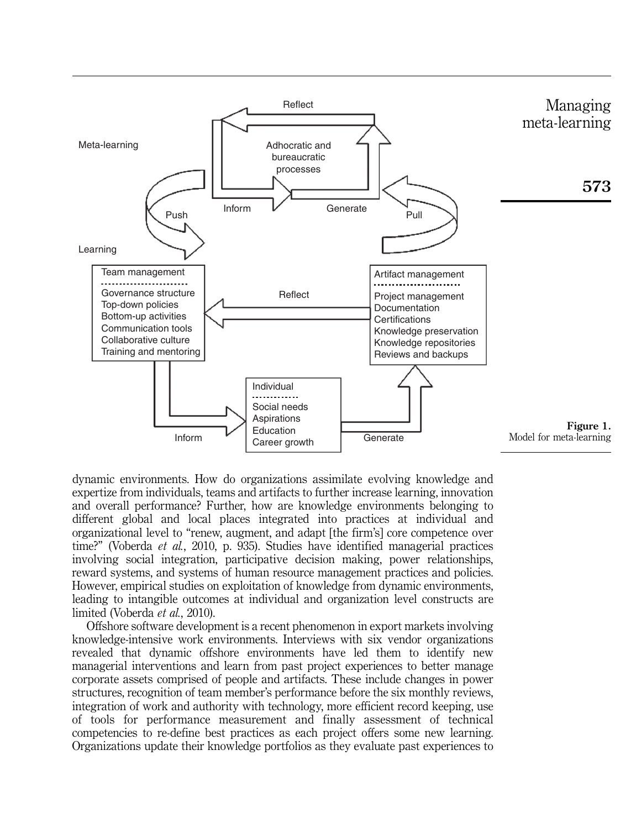

dynamic environments. How do organizations assimilate evolving knowledge and expertize from individuals, teams and artifacts to further increase learning, innovation and overall performance? Further, how are knowledge environments belonging to different global and local places integrated into practices at individual and organizational level to "renew, augment, and adapt [the firm's] core competence over time?" (Voberda *et al.*, 2010, p. 935). Studies have identified managerial practices involving social integration, participative decision making, power relationships, reward systems, and systems of human resource management practices and policies. However, empirical studies on exploitation of knowledge from dynamic environments, leading to intangible outcomes at individual and organization level constructs are limited (Voberda et al., 2010).

Offshore software development is a recent phenomenon in export markets involving knowledge-intensive work environments. Interviews with six vendor organizations revealed that dynamic offshore environments have led them to identify new managerial interventions and learn from past project experiences to better manage corporate assets comprised of people and artifacts. These include changes in power structures, recognition of team member's performance before the six monthly reviews, integration of work and authority with technology, more efficient record keeping, use of tools for performance measurement and finally assessment of technical competencies to re-define best practices as each project offers some new learning. Organizations update their knowledge portfolios as they evaluate past experiences to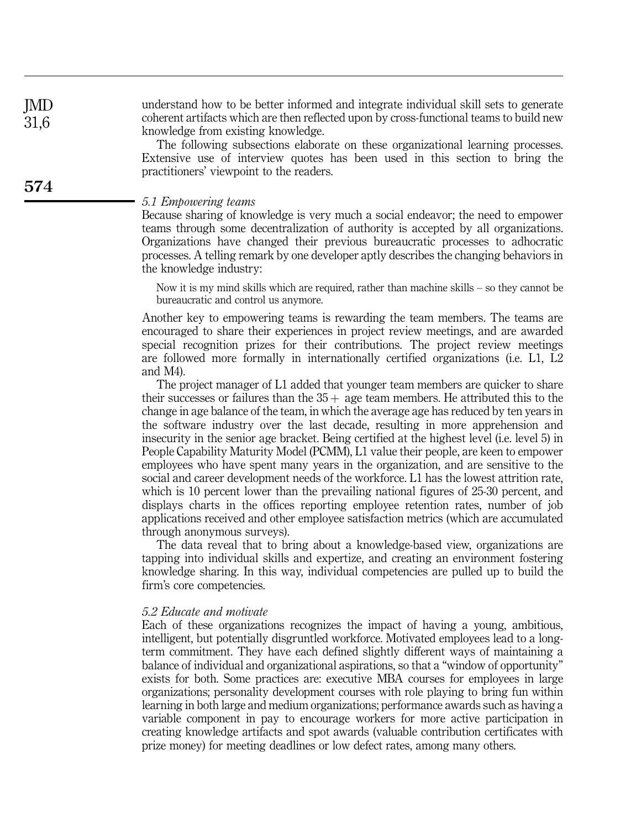understand how to be better informed and integrate individual skill sets to generate coherent artifacts which are then reflected upon by cross-functional teams to build new knowledge from existing knowledge.

The following subsections elaborate on these organizational learning processes. Extensive use of interview quotes has been used in this section to bring the practitioners' viewpoint to the readers.

#### 5.1 Empowering teams

Because sharing of knowledge is very much a social endeavor; the need to empower teams through some decentralization of authority is accepted by all organizations. Organizations have changed their previous bureaucratic processes to adhocratic processes. A telling remark by one developer aptly describes the changing behaviors in the knowledge industry:

Now it is my mind skills which are required, rather than machine skills – so they cannot be bureaucratic and control us anymore.

Another key to empowering teams is rewarding the team members. The teams are encouraged to share their experiences in project review meetings, and are awarded special recognition prizes for their contributions. The project review meetings are followed more formally in internationally certified organizations (i.e. L1, L2 and M4).

The project manager of L1 added that younger team members are quicker to share their successes or failures than the  $35 + a$  ge team members. He attributed this to the change in age balance of the team, in which the average age has reduced by ten years in the software industry over the last decade, resulting in more apprehension and insecurity in the senior age bracket. Being certified at the highest level (i.e. level 5) in People Capability Maturity Model (PCMM), L1 value their people, are keen to empower employees who have spent many years in the organization, and are sensitive to the social and career development needs of the workforce. L1 has the lowest attrition rate, which is 10 percent lower than the prevailing national figures of 25-30 percent, and displays charts in the offices reporting employee retention rates, number of job applications received and other employee satisfaction metrics (which are accumulated through anonymous surveys).

The data reveal that to bring about a knowledge-based view, organizations are tapping into individual skills and expertize, and creating an environment fostering knowledge sharing. In this way, individual competencies are pulled up to build the firm's core competencies.

#### 5.2 Educate and motivate

Each of these organizations recognizes the impact of having a young, ambitious, intelligent, but potentially disgruntled workforce. Motivated employees lead to a longterm commitment. They have each defined slightly different ways of maintaining a balance of individual and organizational aspirations, so that a "window of opportunity" exists for both. Some practices are: executive MBA courses for employees in large organizations; personality development courses with role playing to bring fun within learning in both large and medium organizations; performance awards such as having a variable component in pay to encourage workers for more active participation in creating knowledge artifacts and spot awards (valuable contribution certificates with prize money) for meeting deadlines or low defect rates, among many others.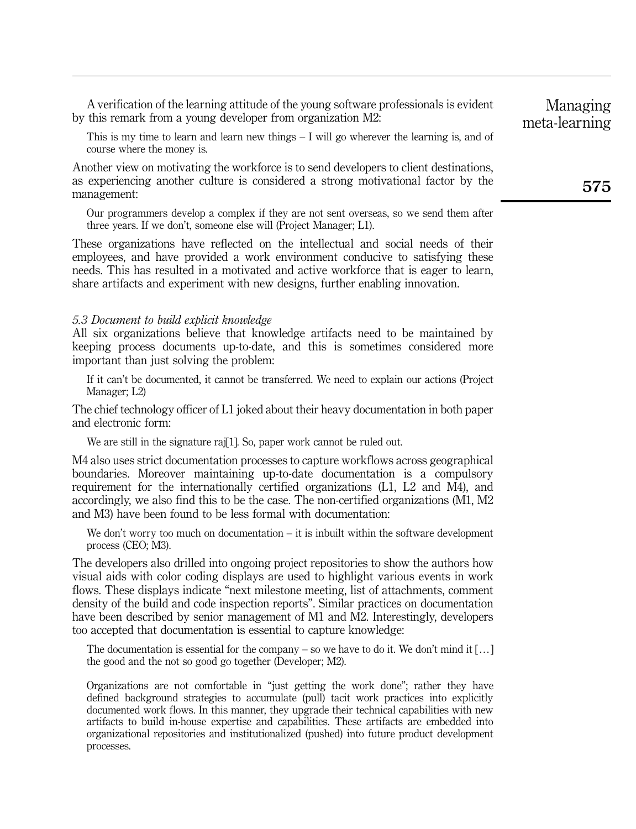A verification of the learning attitude of the young software professionals is evident by this remark from a young developer from organization M2:

This is my time to learn and learn new things – I will go wherever the learning is, and of course where the money is.

Another view on motivating the workforce is to send developers to client destinations, as experiencing another culture is considered a strong motivational factor by the management:

Our programmers develop a complex if they are not sent overseas, so we send them after three years. If we don't, someone else will (Project Manager; L1).

These organizations have reflected on the intellectual and social needs of their employees, and have provided a work environment conducive to satisfying these needs. This has resulted in a motivated and active workforce that is eager to learn, share artifacts and experiment with new designs, further enabling innovation.

#### 5.3 Document to build explicit knowledge

All six organizations believe that knowledge artifacts need to be maintained by keeping process documents up-to-date, and this is sometimes considered more important than just solving the problem:

If it can't be documented, it cannot be transferred. We need to explain our actions (Project Manager; L2)

The chief technology officer of L1 joked about their heavy documentation in both paper and electronic form:

We are still in the signature raj<sup>[1]</sup>. So, paper work cannot be ruled out.

M4 also uses strict documentation processes to capture workflows across geographical boundaries. Moreover maintaining up-to-date documentation is a compulsory requirement for the internationally certified organizations (L1, L2 and M4), and accordingly, we also find this to be the case. The non-certified organizations (M1, M2 and M3) have been found to be less formal with documentation:

We don't worry too much on documentation  $-$  it is inbuilt within the software development process (CEO; M3).

The developers also drilled into ongoing project repositories to show the authors how visual aids with color coding displays are used to highlight various events in work flows. These displays indicate "next milestone meeting, list of attachments, comment density of the build and code inspection reports". Similar practices on documentation have been described by senior management of M1 and M2. Interestingly, developers too accepted that documentation is essential to capture knowledge:

The documentation is essential for the company – so we have to do it. We don't mind it [ $\ldots$ ] the good and the not so good go together (Developer; M2).

Organizations are not comfortable in "just getting the work done"; rather they have defined background strategies to accumulate (pull) tacit work practices into explicitly documented work flows. In this manner, they upgrade their technical capabilities with new artifacts to build in-house expertise and capabilities. These artifacts are embedded into organizational repositories and institutionalized (pushed) into future product development processes.

Managing meta-learning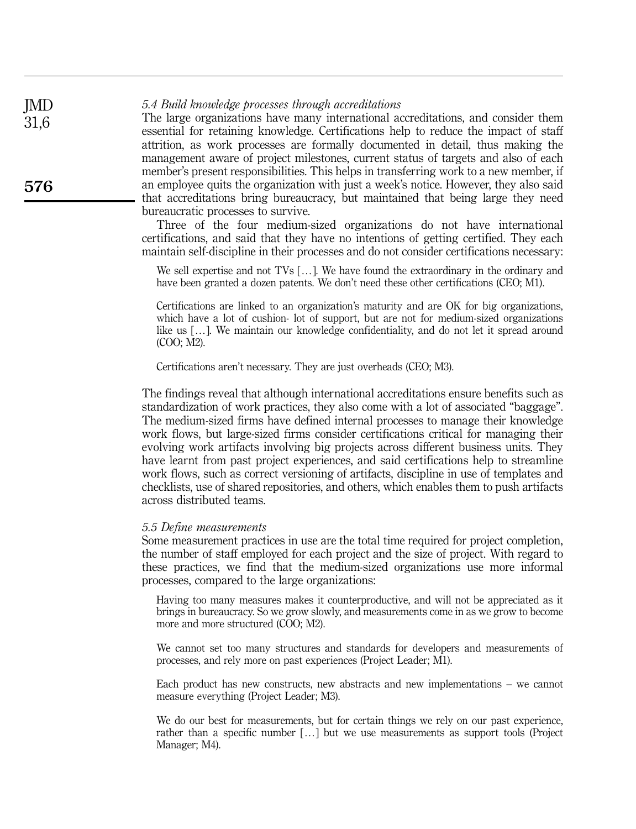5.4 Build knowledge processes through accreditations

The large organizations have many international accreditations, and consider them essential for retaining knowledge. Certifications help to reduce the impact of staff attrition, as work processes are formally documented in detail, thus making the management aware of project milestones, current status of targets and also of each member's present responsibilities. This helps in transferring work to a new member, if an employee quits the organization with just a week's notice. However, they also said that accreditations bring bureaucracy, but maintained that being large they need bureaucratic processes to survive.

Three of the four medium-sized organizations do not have international certifications, and said that they have no intentions of getting certified. They each maintain self-discipline in their processes and do not consider certifications necessary:

We sell expertise and not TVs  $[...]$ . We have found the extraordinary in the ordinary and have been granted a dozen patents. We don't need these other certifications (CEO; M1).

Certifications are linked to an organization's maturity and are OK for big organizations, which have a lot of cushion- lot of support, but are not for medium-sized organizations like us  $[\,\ldots]$ . We maintain our knowledge confidentiality, and do not let it spread around (COO; M2).

Certifications aren't necessary. They are just overheads (CEO; M3).

The findings reveal that although international accreditations ensure benefits such as standardization of work practices, they also come with a lot of associated "baggage". The medium-sized firms have defined internal processes to manage their knowledge work flows, but large-sized firms consider certifications critical for managing their evolving work artifacts involving big projects across different business units. They have learnt from past project experiences, and said certifications help to streamline work flows, such as correct versioning of artifacts, discipline in use of templates and checklists, use of shared repositories, and others, which enables them to push artifacts across distributed teams.

#### 5.5 Define measurements

Some measurement practices in use are the total time required for project completion, the number of staff employed for each project and the size of project. With regard to these practices, we find that the medium-sized organizations use more informal processes, compared to the large organizations:

Having too many measures makes it counterproductive, and will not be appreciated as it brings in bureaucracy. So we grow slowly, and measurements come in as we grow to become more and more structured (COO; M2).

We cannot set too many structures and standards for developers and measurements of processes, and rely more on past experiences (Project Leader; M1).

Each product has new constructs, new abstracts and new implementations – we cannot measure everything (Project Leader; M3).

We do our best for measurements, but for certain things we rely on our past experience, rather than a specific number [...] but we use measurements as support tools (Project Manager; M4).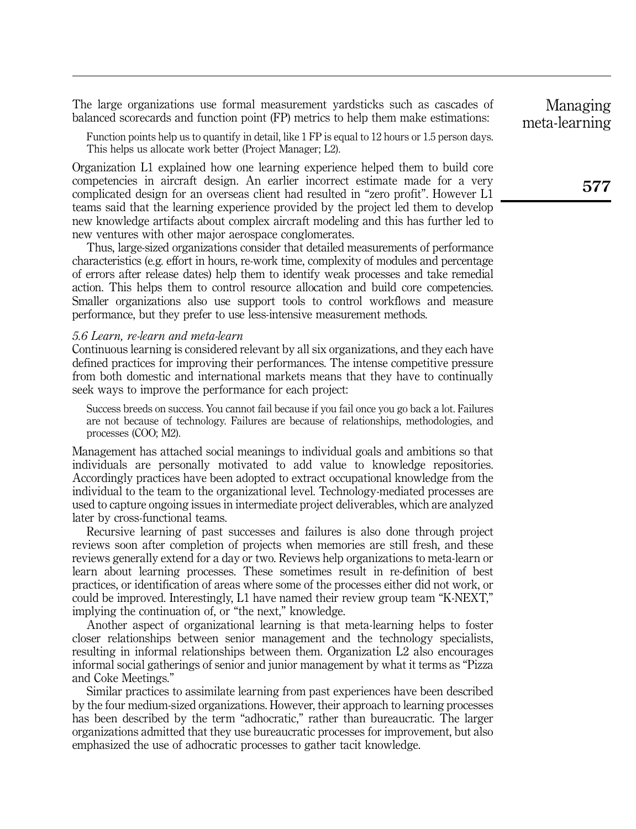The large organizations use formal measurement yardsticks such as cascades of balanced scorecards and function point (FP) metrics to help them make estimations:

Function points help us to quantify in detail, like 1 FP is equal to 12 hours or 1.5 person days. This helps us allocate work better (Project Manager; L2).

Organization L1 explained how one learning experience helped them to build core competencies in aircraft design. An earlier incorrect estimate made for a very complicated design for an overseas client had resulted in "zero profit". However L1 teams said that the learning experience provided by the project led them to develop new knowledge artifacts about complex aircraft modeling and this has further led to new ventures with other major aerospace conglomerates.

Thus, large-sized organizations consider that detailed measurements of performance characteristics (e.g. effort in hours, re-work time, complexity of modules and percentage of errors after release dates) help them to identify weak processes and take remedial action. This helps them to control resource allocation and build core competencies. Smaller organizations also use support tools to control workflows and measure performance, but they prefer to use less-intensive measurement methods.

#### 5.6 Learn, re-learn and meta-learn

Continuous learning is considered relevant by all six organizations, and they each have defined practices for improving their performances. The intense competitive pressure from both domestic and international markets means that they have to continually seek ways to improve the performance for each project:

Success breeds on success. You cannot fail because if you fail once you go back a lot. Failures are not because of technology. Failures are because of relationships, methodologies, and processes (COO; M2).

Management has attached social meanings to individual goals and ambitions so that individuals are personally motivated to add value to knowledge repositories. Accordingly practices have been adopted to extract occupational knowledge from the individual to the team to the organizational level. Technology-mediated processes are used to capture ongoing issues in intermediate project deliverables, which are analyzed later by cross-functional teams.

Recursive learning of past successes and failures is also done through project reviews soon after completion of projects when memories are still fresh, and these reviews generally extend for a day or two. Reviews help organizations to meta-learn or learn about learning processes. These sometimes result in re-definition of best practices, or identification of areas where some of the processes either did not work, or could be improved. Interestingly, L1 have named their review group team "K-NEXT," implying the continuation of, or "the next," knowledge.

Another aspect of organizational learning is that meta-learning helps to foster closer relationships between senior management and the technology specialists, resulting in informal relationships between them. Organization L2 also encourages informal social gatherings of senior and junior management by what it terms as "Pizza and Coke Meetings."

Similar practices to assimilate learning from past experiences have been described by the four medium-sized organizations. However, their approach to learning processes has been described by the term "adhocratic," rather than bureaucratic. The larger organizations admitted that they use bureaucratic processes for improvement, but also emphasized the use of adhocratic processes to gather tacit knowledge.

Managing meta-learning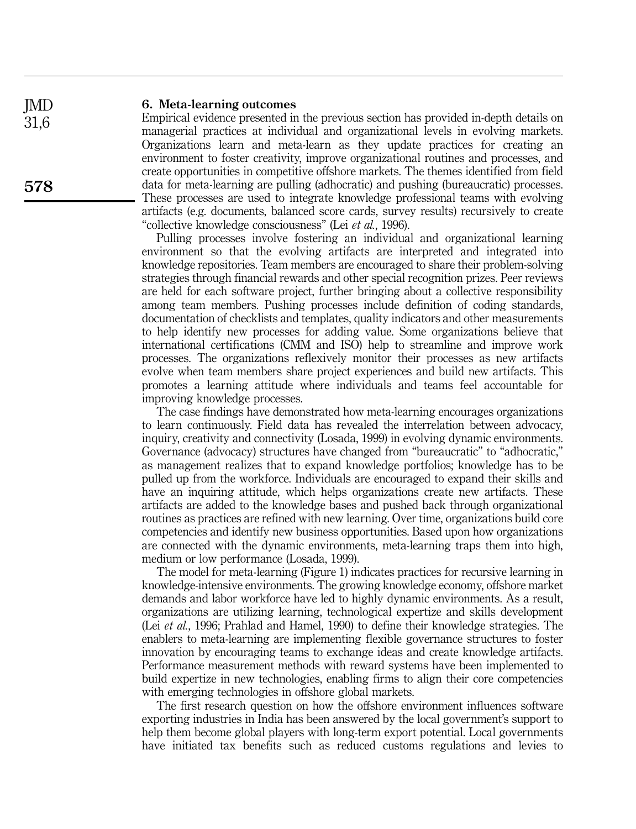#### 6. Meta-learning outcomes JMD

Empirical evidence presented in the previous section has provided in-depth details on managerial practices at individual and organizational levels in evolving markets. Organizations learn and meta-learn as they update practices for creating an environment to foster creativity, improve organizational routines and processes, and create opportunities in competitive offshore markets. The themes identified from field data for meta-learning are pulling (adhocratic) and pushing (bureaucratic) processes. These processes are used to integrate knowledge professional teams with evolving artifacts (e.g. documents, balanced score cards, survey results) recursively to create "collective knowledge consciousness" (Lei et al., 1996).

Pulling processes involve fostering an individual and organizational learning environment so that the evolving artifacts are interpreted and integrated into knowledge repositories. Team members are encouraged to share their problem-solving strategies through financial rewards and other special recognition prizes. Peer reviews are held for each software project, further bringing about a collective responsibility among team members. Pushing processes include definition of coding standards, documentation of checklists and templates, quality indicators and other measurements to help identify new processes for adding value. Some organizations believe that international certifications (CMM and ISO) help to streamline and improve work processes. The organizations reflexively monitor their processes as new artifacts evolve when team members share project experiences and build new artifacts. This promotes a learning attitude where individuals and teams feel accountable for improving knowledge processes.

The case findings have demonstrated how meta-learning encourages organizations to learn continuously. Field data has revealed the interrelation between advocacy, inquiry, creativity and connectivity (Losada, 1999) in evolving dynamic environments. Governance (advocacy) structures have changed from "bureaucratic" to "adhocratic," as management realizes that to expand knowledge portfolios; knowledge has to be pulled up from the workforce. Individuals are encouraged to expand their skills and have an inquiring attitude, which helps organizations create new artifacts. These artifacts are added to the knowledge bases and pushed back through organizational routines as practices are refined with new learning. Over time, organizations build core competencies and identify new business opportunities. Based upon how organizations are connected with the dynamic environments, meta-learning traps them into high, medium or low performance (Losada, 1999).

The model for meta-learning (Figure 1) indicates practices for recursive learning in knowledge-intensive environments. The growing knowledge economy, offshore market demands and labor workforce have led to highly dynamic environments. As a result, organizations are utilizing learning, technological expertize and skills development (Lei et al., 1996; Prahlad and Hamel, 1990) to define their knowledge strategies. The enablers to meta-learning are implementing flexible governance structures to foster innovation by encouraging teams to exchange ideas and create knowledge artifacts. Performance measurement methods with reward systems have been implemented to build expertize in new technologies, enabling firms to align their core competencies with emerging technologies in offshore global markets.

The first research question on how the offshore environment influences software exporting industries in India has been answered by the local government's support to help them become global players with long-term export potential. Local governments have initiated tax benefits such as reduced customs regulations and levies to

31,6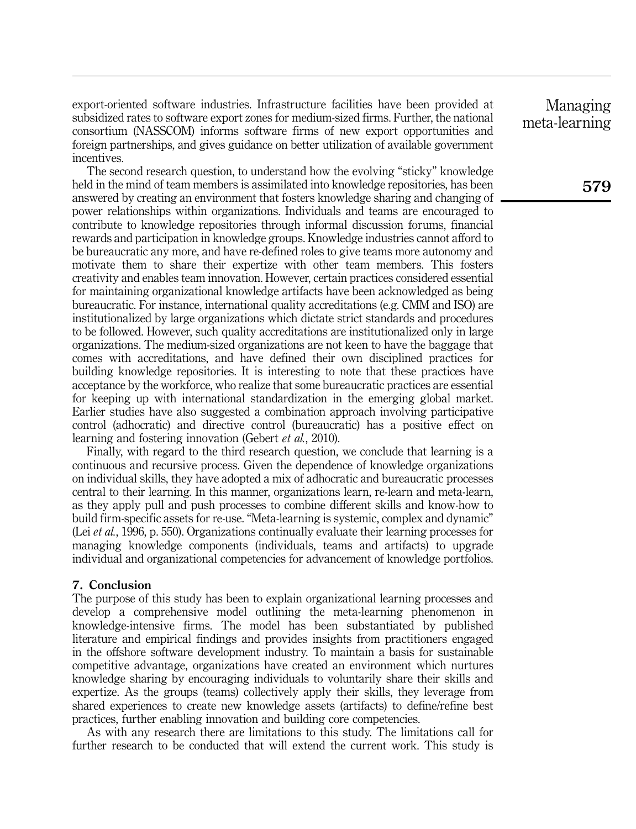export-oriented software industries. Infrastructure facilities have been provided at subsidized rates to software export zones for medium-sized firms. Further, the national consortium (NASSCOM) informs software firms of new export opportunities and foreign partnerships, and gives guidance on better utilization of available government incentives.

The second research question, to understand how the evolving "sticky" knowledge held in the mind of team members is assimilated into knowledge repositories, has been answered by creating an environment that fosters knowledge sharing and changing of power relationships within organizations. Individuals and teams are encouraged to contribute to knowledge repositories through informal discussion forums, financial rewards and participation in knowledge groups. Knowledge industries cannot afford to be bureaucratic any more, and have re-defined roles to give teams more autonomy and motivate them to share their expertize with other team members. This fosters creativity and enables team innovation. However, certain practices considered essential for maintaining organizational knowledge artifacts have been acknowledged as being bureaucratic. For instance, international quality accreditations (e.g. CMM and ISO) are institutionalized by large organizations which dictate strict standards and procedures to be followed. However, such quality accreditations are institutionalized only in large organizations. The medium-sized organizations are not keen to have the baggage that comes with accreditations, and have defined their own disciplined practices for building knowledge repositories. It is interesting to note that these practices have acceptance by the workforce, who realize that some bureaucratic practices are essential for keeping up with international standardization in the emerging global market. Earlier studies have also suggested a combination approach involving participative control (adhocratic) and directive control (bureaucratic) has a positive effect on learning and fostering innovation (Gebert *et al.*, 2010).

Finally, with regard to the third research question, we conclude that learning is a continuous and recursive process. Given the dependence of knowledge organizations on individual skills, they have adopted a mix of adhocratic and bureaucratic processes central to their learning. In this manner, organizations learn, re-learn and meta-learn, as they apply pull and push processes to combine different skills and know-how to build firm-specific assets for re-use. "Meta-learning is systemic, complex and dynamic" (Lei et al., 1996, p. 550). Organizations continually evaluate their learning processes for managing knowledge components (individuals, teams and artifacts) to upgrade individual and organizational competencies for advancement of knowledge portfolios.

#### 7. Conclusion

The purpose of this study has been to explain organizational learning processes and develop a comprehensive model outlining the meta-learning phenomenon in knowledge-intensive firms. The model has been substantiated by published literature and empirical findings and provides insights from practitioners engaged in the offshore software development industry. To maintain a basis for sustainable competitive advantage, organizations have created an environment which nurtures knowledge sharing by encouraging individuals to voluntarily share their skills and expertize. As the groups (teams) collectively apply their skills, they leverage from shared experiences to create new knowledge assets (artifacts) to define/refine best practices, further enabling innovation and building core competencies.

As with any research there are limitations to this study. The limitations call for further research to be conducted that will extend the current work. This study is

Managing meta-learning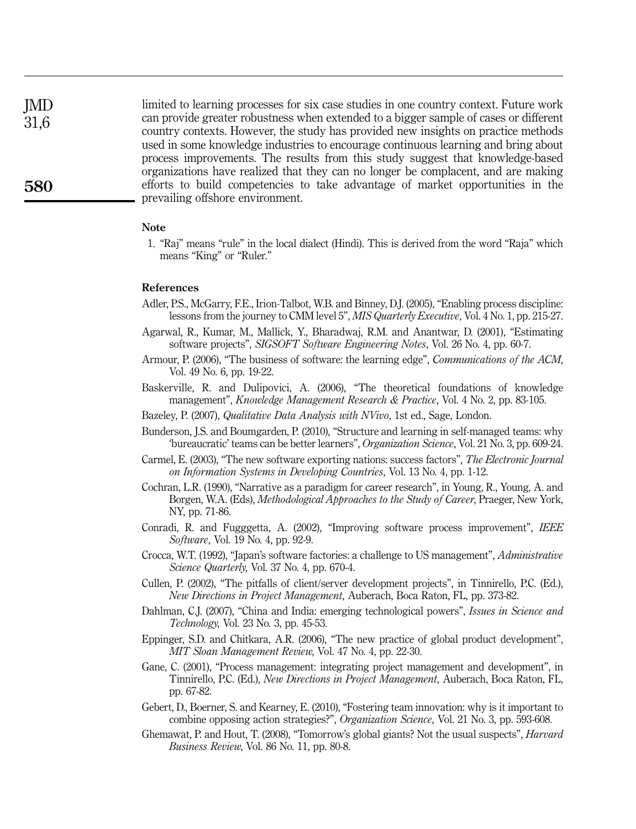limited to learning processes for six case studies in one country context. Future work can provide greater robustness when extended to a bigger sample of cases or different country contexts. However, the study has provided new insights on practice methods used in some knowledge industries to encourage continuous learning and bring about process improvements. The results from this study suggest that knowledge-based organizations have realized that they can no longer be complacent, and are making efforts to build competencies to take advantage of market opportunities in the prevailing offshore environment.

#### Note

1. "Raj" means "rule" in the local dialect (Hindi). This is derived from the word "Raja" which means "King" or "Ruler."

#### References

- Adler, P.S., McGarry, F.E., Irion-Talbot, W.B. and Binney, D.J. (2005), "Enabling process discipline: lessons from the journey to CMM level 5", MIS Quarterly Executive, Vol. 4 No. 1, pp. 215-27.
- Agarwal, R., Kumar, M., Mallick, Y., Bharadwaj, R.M. and Anantwar, D. (2001), "Estimating software projects", SIGSOFT Software Engineering Notes, Vol. 26 No. 4, pp. 60-7.
- Armour, P. (2006), "The business of software: the learning edge", Communications of the ACM, Vol. 49 No. 6, pp. 19-22.
- Baskerville, R. and Dulipovici, A. (2006), "The theoretical foundations of knowledge management", Knowledge Management Research & Practice, Vol. 4 No. 2, pp. 83-105.
- Bazeley, P. (2007), *Qualitative Data Analysis with NVivo*, 1st ed., Sage, London.
- Bunderson, J.S. and Boumgarden, P. (2010), "Structure and learning in self-managed teams: why 'bureaucratic' teams can be better learners", Organization Science, Vol. 21 No. 3, pp. 609-24.
- Carmel, E. (2003), "The new software exporting nations: success factors", The Electronic Journal on Information Systems in Developing Countries, Vol. 13 No. 4, pp. 1-12.
- Cochran, L.R. (1990), "Narrative as a paradigm for career research", in Young, R., Young, A. and Borgen, W.A. (Eds), Methodological Approaches to the Study of Career, Praeger, New York, NY, pp. 71-86.
- Conradi, R. and Fugggetta, A. (2002), "Improving software process improvement", IEEE Software, Vol. 19 No. 4, pp. 92-9.
- Crocca, W.T. (1992), "Japan's software factories: a challenge to US management", Administrative Science Quarterly, Vol. 37 No. 4, pp. 670-4.
- Cullen, P. (2002), "The pitfalls of client/server development projects", in Tinnirello, P.C. (Ed.), New Directions in Project Management, Auberach, Boca Raton, FL, pp. 373-82.
- Dahlman, C.J. (2007), "China and India: emerging technological powers", Issues in Science and Technology, Vol. 23 No. 3, pp. 45-53.
- Eppinger, S.D. and Chitkara, A.R. (2006), "The new practice of global product development", MIT Sloan Management Review, Vol. 47 No. 4, pp. 22-30.
- Gane, C. (2001), "Process management: integrating project management and development", in Tinnirello, P.C. (Ed.), New Directions in Project Management, Auberach, Boca Raton, FL, pp. 67-82.
- Gebert, D., Boerner, S. and Kearney, E. (2010), "Fostering team innovation: why is it important to combine opposing action strategies?", Organization Science, Vol. 21 No. 3, pp. 593-608.
- Ghemawat, P. and Hout, T. (2008), "Tomorrow's global giants? Not the usual suspects", *Harvard* Business Review, Vol. 86 No. 11, pp. 80-8.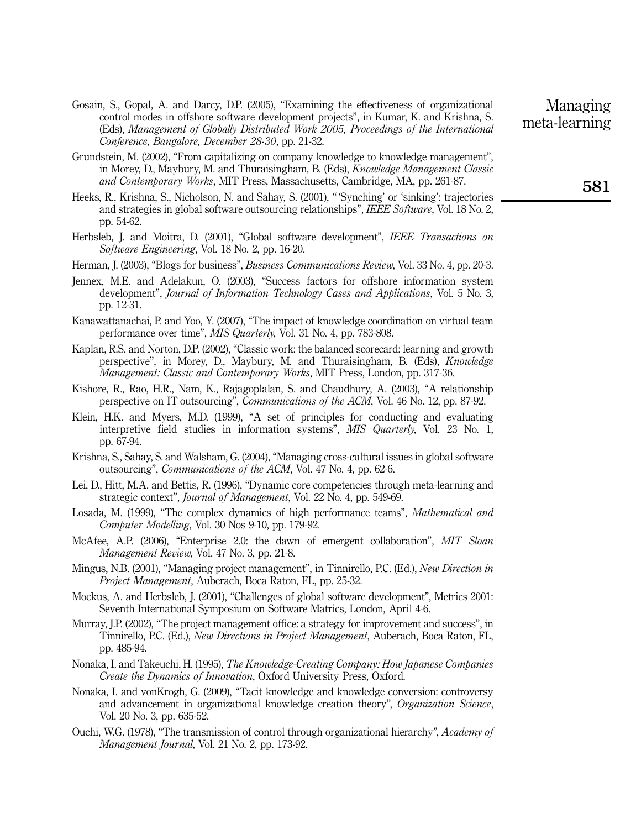- Gosain, S., Gopal, A. and Darcy, D.P. (2005), "Examining the effectiveness of organizational control modes in offshore software development projects", in Kumar, K. and Krishna, S. (Eds), Management of Globally Distributed Work 2005, Proceedings of the International Conference, Bangalore, December 28-30, pp. 21-32.
- Grundstein, M. (2002), "From capitalizing on company knowledge to knowledge management", in Morey, D., Maybury, M. and Thuraisingham, B. (Eds), *Knowledge Management Classic* and Contemporary Works, MIT Press, Massachusetts, Cambridge, MA, pp. 261-87.
- Heeks, R., Krishna, S., Nicholson, N. and Sahay, S. (2001), " 'Synching' or 'sinking': trajectories and strategies in global software outsourcing relationships", IEEE Software, Vol. 18 No. 2, pp. 54-62.
- Herbsleb, J. and Moitra, D. (2001), "Global software development", IEEE Transactions on Software Engineering, Vol. 18 No. 2, pp. 16-20.
- Herman, J. (2003), "Blogs for business", *Business Communications Review*, Vol. 33 No. 4, pp. 20-3.
- Jennex, M.E. and Adelakun, O. (2003), "Success factors for offshore information system development", *Journal of Information Technology Cases and Applications*, Vol. 5 No. 3, pp. 12-31.
- Kanawattanachai, P. and Yoo, Y. (2007), "The impact of knowledge coordination on virtual team performance over time", MIS Quarterly, Vol. 31 No. 4, pp. 783-808.
- Kaplan, R.S. and Norton, D.P. (2002), "Classic work: the balanced scorecard: learning and growth perspective", in Morey, D., Maybury, M. and Thuraisingham, B. (Eds), Knowledge Management: Classic and Contemporary Works, MIT Press, London, pp. 317-36.
- Kishore, R., Rao, H.R., Nam, K., Rajagoplalan, S. and Chaudhury, A. (2003), "A relationship perspective on IT outsourcing", Communications of the ACM, Vol. 46 No. 12, pp. 87-92.
- Klein, H.K. and Myers, M.D. (1999), "A set of principles for conducting and evaluating interpretive field studies in information systems", MIS Quarterly, Vol. 23 No. 1, pp. 67-94.
- Krishna, S., Sahay, S. and Walsham, G. (2004), "Managing cross-cultural issues in global software outsourcing", Communications of the ACM, Vol. 47 No. 4, pp. 62-6.
- Lei, D., Hitt, M.A. and Bettis, R. (1996), "Dynamic core competencies through meta-learning and strategic context", Journal of Management, Vol. 22 No. 4, pp. 549-69.
- Losada, M. (1999), "The complex dynamics of high performance teams", Mathematical and Computer Modelling, Vol. 30 Nos 9-10, pp. 179-92.
- McAfee, A.P. (2006), "Enterprise 2.0: the dawn of emergent collaboration", MIT Sloan Management Review, Vol. 47 No. 3, pp. 21-8.
- Mingus, N.B. (2001), "Managing project management", in Tinnirello, P.C. (Ed.), New Direction in Project Management, Auberach, Boca Raton, FL, pp. 25-32.
- Mockus, A. and Herbsleb, J. (2001), "Challenges of global software development", Metrics 2001: Seventh International Symposium on Software Matrics, London, April 4-6.
- Murray, J.P. (2002), "The project management office: a strategy for improvement and success", in Tinnirello, P.C. (Ed.), New Directions in Project Management, Auberach, Boca Raton, FL, pp. 485-94.
- Nonaka, I. and Takeuchi, H. (1995), The Knowledge-Creating Company: How Japanese Companies Create the Dynamics of Innovation, Oxford University Press, Oxford.
- Nonaka, I. and vonKrogh, G. (2009), "Tacit knowledge and knowledge conversion: controversy and advancement in organizational knowledge creation theory", Organization Science, Vol. 20 No. 3, pp. 635-52.
- Ouchi, W.G. (1978), "The transmission of control through organizational hierarchy", Academy of Management Journal, Vol. 21 No. 2, pp. 173-92.

Managing meta-learning

581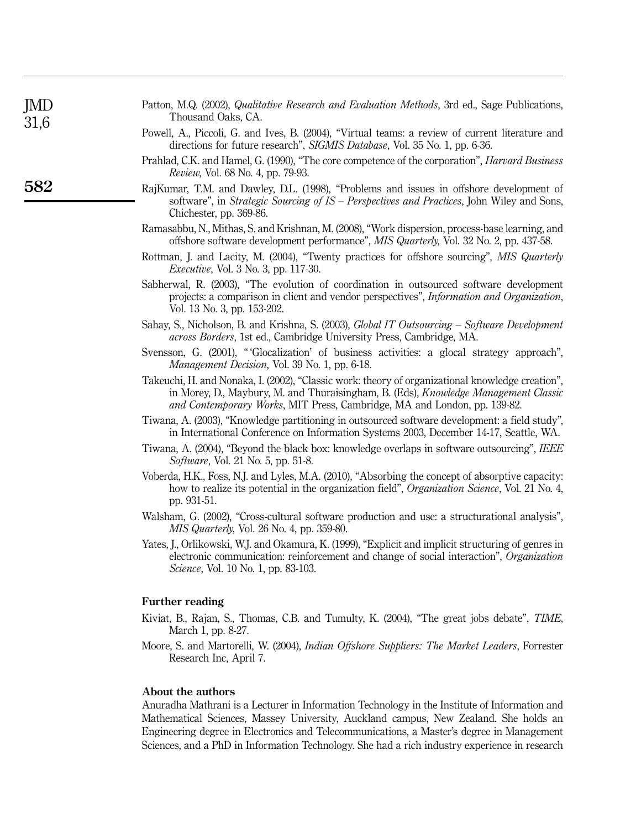| JMD<br>31,6 | Patton, M.Q. (2002), Qualitative Research and Evaluation Methods, 3rd ed., Sage Publications,<br>Thousand Oaks, CA.                                                                                                                                                 |
|-------------|---------------------------------------------------------------------------------------------------------------------------------------------------------------------------------------------------------------------------------------------------------------------|
|             | Powell, A., Piccoli, G. and Ives, B. (2004), "Virtual teams: a review of current literature and<br>directions for future research", SIGMIS Database, Vol. 35 No. 1, pp. 6-36.                                                                                       |
|             | Prahlad, C.K. and Hamel, G. (1990), "The core competence of the corporation", Harvard Business<br><i>Review</i> , Vol. 68 No. 4, pp. 79-93.                                                                                                                         |
| 582         | RajKumar, T.M. and Dawley, D.L. (1998), "Problems and issues in offshore development of<br>software", in Strategic Sourcing of IS – Perspectives and Practices, John Wiley and Sons,<br>Chichester, pp. 369-86.                                                     |
|             | Ramasabbu, N., Mithas, S. and Krishnan, M. (2008), "Work dispersion, process-base learning, and<br>offshore software development performance", MIS Quarterly, Vol. 32 No. 2, pp. 437-58.                                                                            |
|             | Rottman, J. and Lacity, M. (2004), "Twenty practices for offshore sourcing", MIS Quarterly<br><i>Executive</i> , Vol. 3 No. 3, pp. 117-30.                                                                                                                          |
|             | Sabherwal, R. (2003), "The evolution of coordination in outsourced software development<br>projects: a comparison in client and vendor perspectives", Information and Organization,<br>Vol. 13 No. 3, pp. 153-202.                                                  |
|             | Sahay, S., Nicholson, B. and Krishna, S. (2003), Global IT Outsourcing – Software Development<br>across Borders, 1st ed., Cambridge University Press, Cambridge, MA.                                                                                                |
|             | Svensson, G. (2001), "Glocalization' of business activities: a glocal strategy approach",<br><i>Management Decision, Vol. 39 No. 1, pp. 6-18.</i>                                                                                                                   |
|             | Takeuchi, H. and Nonaka, I. (2002), "Classic work: theory of organizational knowledge creation",<br>in Morey, D., Maybury, M. and Thuraisingham, B. (Eds), Knowledge Management Classic<br>and Contemporary Works, MIT Press, Cambridge, MA and London, pp. 139-82. |
|             | Tiwana, A. (2003), "Knowledge partitioning in outsourced software development: a field study",<br>in International Conference on Information Systems 2003, December 14-17, Seattle, WA.                                                                             |
|             | Tiwana, A. (2004), "Beyond the black box: knowledge overlaps in software outsourcing", IEEE<br>Software, Vol. 21 No. 5, pp. 51-8.                                                                                                                                   |
|             | Voberda, H.K., Foss, N.J. and Lyles, M.A. (2010), "Absorbing the concept of absorptive capacity:<br>how to realize its potential in the organization field", Organization Science, Vol. 21 No. 4,<br>pp. 931-51.                                                    |
|             | Walsham, G. (2002), "Cross-cultural software production and use: a structurational analysis",<br><i>MIS Quarterly, Vol. 26 No. 4, pp. 359-80.</i>                                                                                                                   |
|             | Yates, J., Orlikowski, W.J. and Okamura, K. (1999), "Explicit and implicit structuring of genres in<br>electronic communication: reinforcement and change of social interaction", Organization<br><i>Science</i> , Vol. 10 No. 1, pp. 83-103.                       |
|             | <b>Further reading</b>                                                                                                                                                                                                                                              |
|             | Kiviat, B., Rajan, S., Thomas, C.B. and Tumulty, K. (2004), "The great jobs debate", TIME,<br>March 1, pp. 8-27.                                                                                                                                                    |
|             | Moore, S. and Martorelli, W. (2004), Indian Offshore Suppliers: The Market Leaders, Forrester<br>Research Inc, April 7.                                                                                                                                             |
|             | About the authors                                                                                                                                                                                                                                                   |
|             | Anuradha Mathrani is a Lecturer in Information Technology in the Institute of Information and<br>Mathematical Sciences Massey University Auckland campus New Zealand, She holds an                                                                                  |

Mathematical Sciences, Massey University, Auckland campus, New Zealand. She holds an Engineering degree in Electronics and Telecommunications, a Master's degree in Management Sciences, and a PhD in Information Technology. She had a rich industry experience in research